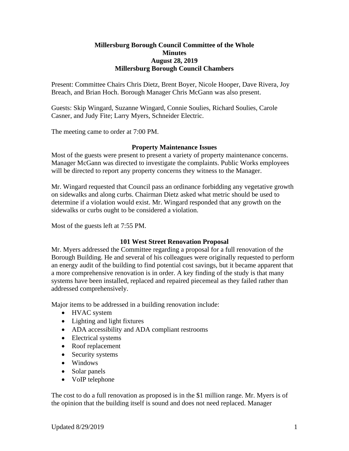## **Millersburg Borough Council Committee of the Whole Minutes August 28, 2019 Millersburg Borough Council Chambers**

Present: Committee Chairs Chris Dietz, Brent Boyer, Nicole Hooper, Dave Rivera, Joy Breach, and Brian Hoch. Borough Manager Chris McGann was also present.

Guests: Skip Wingard, Suzanne Wingard, Connie Soulies, Richard Soulies, Carole Casner, and Judy Fite; Larry Myers, Schneider Electric.

The meeting came to order at 7:00 PM.

# **Property Maintenance Issues**

Most of the guests were present to present a variety of property maintenance concerns. Manager McGann was directed to investigate the complaints. Public Works employees will be directed to report any property concerns they witness to the Manager.

Mr. Wingard requested that Council pass an ordinance forbidding any vegetative growth on sidewalks and along curbs. Chairman Dietz asked what metric should be used to determine if a violation would exist. Mr. Wingard responded that any growth on the sidewalks or curbs ought to be considered a violation.

Most of the guests left at 7:55 PM.

## **101 West Street Renovation Proposal**

Mr. Myers addressed the Committee regarding a proposal for a full renovation of the Borough Building. He and several of his colleagues were originally requested to perform an energy audit of the building to find potential cost savings, but it became apparent that a more comprehensive renovation is in order. A key finding of the study is that many systems have been installed, replaced and repaired piecemeal as they failed rather than addressed comprehensively.

Major items to be addressed in a building renovation include:

- HVAC system
- Lighting and light fixtures
- ADA accessibility and ADA compliant restrooms
- Electrical systems
- Roof replacement
- Security systems
- Windows
- Solar panels
- VoIP telephone

The cost to do a full renovation as proposed is in the \$1 million range. Mr. Myers is of the opinion that the building itself is sound and does not need replaced. Manager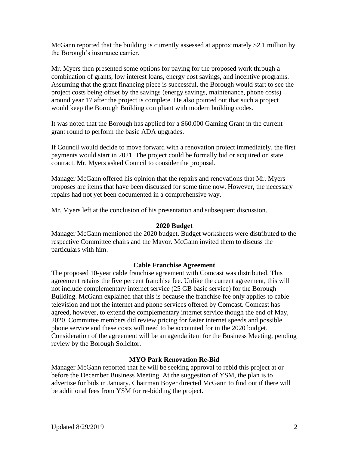McGann reported that the building is currently assessed at approximately \$2.1 million by the Borough's insurance carrier.

Mr. Myers then presented some options for paying for the proposed work through a combination of grants, low interest loans, energy cost savings, and incentive programs. Assuming that the grant financing piece is successful, the Borough would start to see the project costs being offset by the savings (energy savings, maintenance, phone costs) around year 17 after the project is complete. He also pointed out that such a project would keep the Borough Building compliant with modern building codes.

It was noted that the Borough has applied for a \$60,000 Gaming Grant in the current grant round to perform the basic ADA upgrades.

If Council would decide to move forward with a renovation project immediately, the first payments would start in 2021. The project could be formally bid or acquired on state contract. Mr. Myers asked Council to consider the proposal.

Manager McGann offered his opinion that the repairs and renovations that Mr. Myers proposes are items that have been discussed for some time now. However, the necessary repairs had not yet been documented in a comprehensive way.

Mr. Myers left at the conclusion of his presentation and subsequent discussion.

## **2020 Budget**

Manager McGann mentioned the 2020 budget. Budget worksheets were distributed to the respective Committee chairs and the Mayor. McGann invited them to discuss the particulars with him.

## **Cable Franchise Agreement**

The proposed 10-year cable franchise agreement with Comcast was distributed. This agreement retains the five percent franchise fee. Unlike the current agreement, this will not include complementary internet service (25 GB basic service) for the Borough Building. McGann explained that this is because the franchise fee only applies to cable television and not the internet and phone services offered by Comcast. Comcast has agreed, however, to extend the complementary internet service though the end of May, 2020. Committee members did review pricing for faster internet speeds and possible phone service and these costs will need to be accounted for in the 2020 budget. Consideration of the agreement will be an agenda item for the Business Meeting, pending review by the Borough Solicitor.

## **MYO Park Renovation Re-Bid**

Manager McGann reported that he will be seeking approval to rebid this project at or before the December Business Meeting. At the suggestion of YSM, the plan is to advertise for bids in January. Chairman Boyer directed McGann to find out if there will be additional fees from YSM for re-bidding the project.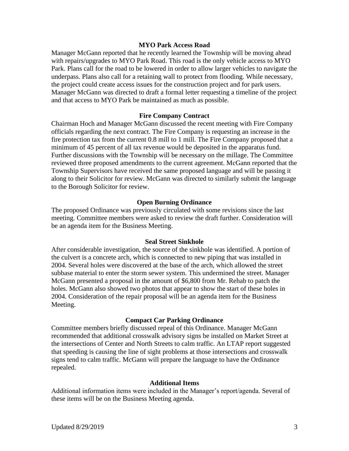## **MYO Park Access Road**

Manager McGann reported that he recently learned the Township will be moving ahead with repairs/upgrades to MYO Park Road. This road is the only vehicle access to MYO Park. Plans call for the road to be lowered in order to allow larger vehicles to navigate the underpass. Plans also call for a retaining wall to protect from flooding. While necessary, the project could create access issues for the construction project and for park users. Manager McGann was directed to draft a formal letter requesting a timeline of the project and that access to MYO Park be maintained as much as possible.

## **Fire Company Contract**

Chairman Hoch and Manager McGann discussed the recent meeting with Fire Company officials regarding the next contract. The Fire Company is requesting an increase in the fire protection tax from the current 0.8 mill to 1 mill. The Fire Company proposed that a minimum of 45 percent of all tax revenue would be deposited in the apparatus fund. Further discussions with the Township will be necessary on the millage. The Committee reviewed three proposed amendments to the current agreement. McGann reported that the Township Supervisors have received the same proposed language and will be passing it along to their Solicitor for review. McGann was directed to similarly submit the language to the Borough Solicitor for review.

### **Open Burning Ordinance**

The proposed Ordinance was previously circulated with some revisions since the last meeting. Committee members were asked to review the draft further. Consideration will be an agenda item for the Business Meeting.

## **Seal Street Sinkhole**

After considerable investigation, the source of the sinkhole was identified. A portion of the culvert is a concrete arch, which is connected to new piping that was installed in 2004. Several holes were discovered at the base of the arch, which allowed the street subbase material to enter the storm sewer system. This undermined the street. Manager McGann presented a proposal in the amount of \$6,800 from Mr. Rehab to patch the holes. McGann also showed two photos that appear to show the start of these holes in 2004. Consideration of the repair proposal will be an agenda item for the Business Meeting.

#### **Compact Car Parking Ordinance**

Committee members briefly discussed repeal of this Ordinance. Manager McGann recommended that additional crosswalk advisory signs be installed on Market Street at the intersections of Center and North Streets to calm traffic. An LTAP report suggested that speeding is causing the line of sight problems at those intersections and crosswalk signs tend to calm traffic. McGann will prepare the language to have the Ordinance repealed.

#### **Additional Items**

Additional information items were included in the Manager's report/agenda. Several of these items will be on the Business Meeting agenda.